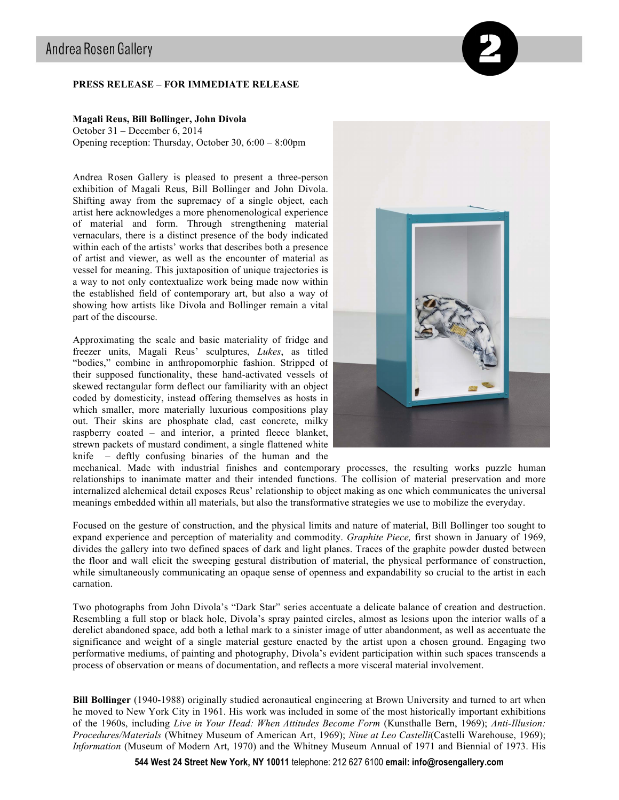## **PRESS RELEASE – FOR IMMEDIATE RELEASE**

## **Magali Reus, Bill Bollinger, John Divola**

October 31 – December 6, 2014 Opening reception: Thursday, October 30, 6:00 – 8:00pm

Andrea Rosen Gallery is pleased to present a three-person exhibition of Magali Reus, Bill Bollinger and John Divola. Shifting away from the supremacy of a single object, each artist here acknowledges a more phenomenological experience of material and form. Through strengthening material vernaculars, there is a distinct presence of the body indicated within each of the artists' works that describes both a presence of artist and viewer, as well as the encounter of material as vessel for meaning. This juxtaposition of unique trajectories is a way to not only contextualize work being made now within the established field of contemporary art, but also a way of showing how artists like Divola and Bollinger remain a vital part of the discourse.

Approximating the scale and basic materiality of fridge and freezer units, Magali Reus' sculptures, *Lukes*, as titled "bodies," combine in anthropomorphic fashion. Stripped of their supposed functionality, these hand-activated vessels of skewed rectangular form deflect our familiarity with an object coded by domesticity, instead offering themselves as hosts in which smaller, more materially luxurious compositions play out. Their skins are phosphate clad, cast concrete, milky raspberry coated – and interior, a printed fleece blanket, strewn packets of mustard condiment, a single flattened white knife – deftly confusing binaries of the human and the



mechanical. Made with industrial finishes and contemporary processes, the resulting works puzzle human relationships to inanimate matter and their intended functions. The collision of material preservation and more internalized alchemical detail exposes Reus' relationship to object making as one which communicates the universal meanings embedded within all materials, but also the transformative strategies we use to mobilize the everyday.

Focused on the gesture of construction, and the physical limits and nature of material, Bill Bollinger too sought to expand experience and perception of materiality and commodity. *Graphite Piece,* first shown in January of 1969, divides the gallery into two defined spaces of dark and light planes. Traces of the graphite powder dusted between the floor and wall elicit the sweeping gestural distribution of material, the physical performance of construction, while simultaneously communicating an opaque sense of openness and expandability so crucial to the artist in each carnation.

Two photographs from John Divola's "Dark Star" series accentuate a delicate balance of creation and destruction. Resembling a full stop or black hole, Divola's spray painted circles, almost as lesions upon the interior walls of a derelict abandoned space, add both a lethal mark to a sinister image of utter abandonment, as well as accentuate the significance and weight of a single material gesture enacted by the artist upon a chosen ground. Engaging two performative mediums, of painting and photography, Divola's evident participation within such spaces transcends a process of observation or means of documentation, and reflects a more visceral material involvement.

**Bill Bollinger** (1940-1988) originally studied aeronautical engineering at Brown University and turned to art when he moved to New York City in 1961. His work was included in some of the most historically important exhibitions of the 1960s, including *Live in Your Head: When Attitudes Become Form* (Kunsthalle Bern, 1969); *Anti-Illusion: Procedures/Materials* (Whitney Museum of American Art, 1969); *Nine at Leo Castelli*(Castelli Warehouse, 1969); *Information* (Museum of Modern Art, 1970) and the Whitney Museum Annual of 1971 and Biennial of 1973. His

**544 West 24 Street New York, NY 10011** telephone: 212 627 6100 **email: info@rosengallery.com**